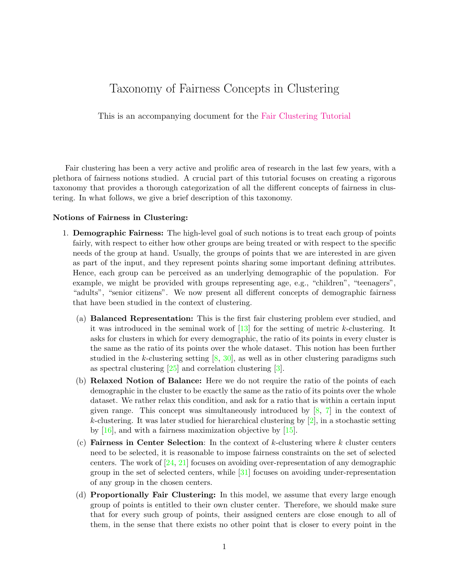## Taxonomy of Fairness Concepts in Clustering

This is an accompanying document for the [Fair Clustering Tutorial](https://www.fairclustering.com/)

Fair clustering has been a very active and prolific area of research in the last few years, with a plethora of fairness notions studied. A crucial part of this tutorial focuses on creating a rigorous taxonomy that provides a thorough categorization of all the different concepts of fairness in clustering. In what follows, we give a brief description of this taxonomy.

## Notions of Fairness in Clustering:

- 1. Demographic Fairness: The high-level goal of such notions is to treat each group of points fairly, with respect to either how other groups are being treated or with respect to the specific needs of the group at hand. Usually, the groups of points that we are interested in are given as part of the input, and they represent points sharing some important defining attributes. Hence, each group can be perceived as an underlying demographic of the population. For example, we might be provided with groups representing age, e.g., "children", "teenagers", "adults", "senior citizens". We now present all different concepts of demographic fairness that have been studied in the context of clustering.
	- (a) Balanced Representation: This is the first fair clustering problem ever studied, and it was introduced in the seminal work of  $[13]$  for the setting of metric k-clustering. It asks for clusters in which for every demographic, the ratio of its points in every cluster is the same as the ratio of its points over the whole dataset. This notion has been further studied in the k-clustering setting [\[8,](#page-2-0) [30\]](#page-4-0), as well as in other clustering paradigms such as spectral clustering [\[25\]](#page-3-1) and correlation clustering [\[3\]](#page-2-1).
	- (b) Relaxed Notion of Balance: Here we do not require the ratio of the points of each demographic in the cluster to be exactly the same as the ratio of its points over the whole dataset. We rather relax this condition, and ask for a ratio that is within a certain input given range. This concept was simultaneously introduced by [\[8,](#page-2-0) [7\]](#page-2-2) in the context of k-clustering. It was later studied for hierarchical clustering by  $[2]$ , in a stochastic setting by [\[16\]](#page-3-2), and with a fairness maximization objective by [\[15\]](#page-3-3).
	- (c) Fairness in Center Selection: In the context of  $k$ -clustering where  $k$  cluster centers need to be selected, it is reasonable to impose fairness constraints on the set of selected centers. The work of  $[24, 21]$  $[24, 21]$  $[24, 21]$  focuses on avoiding over-representation of any demographic group in the set of selected centers, while [\[31\]](#page-4-1) focuses on avoiding under-representation of any group in the chosen centers.
	- (d) Proportionally Fair Clustering: In this model, we assume that every large enough group of points is entitled to their own cluster center. Therefore, we should make sure that for every such group of points, their assigned centers are close enough to all of them, in the sense that there exists no other point that is closer to every point in the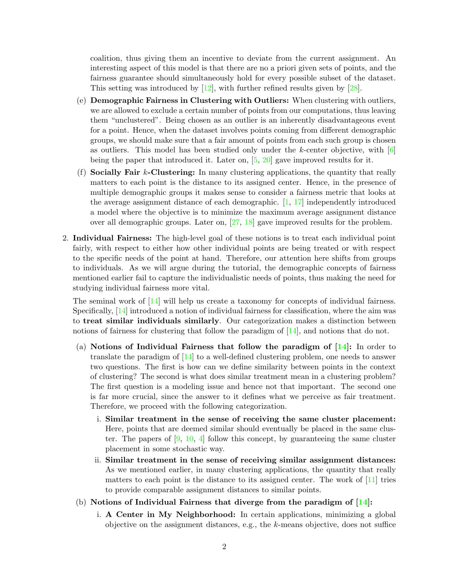coalition, thus giving them an incentive to deviate from the current assignment. An interesting aspect of this model is that there are no a priori given sets of points, and the fairness guarantee should simultaneously hold for every possible subset of the dataset. This setting was introduced by [\[12\]](#page-3-6), with further refined results given by [\[28\]](#page-4-2).

- (e) Demographic Fairness in Clustering with Outliers: When clustering with outliers, we are allowed to exclude a certain number of points from our computations, thus leaving them "unclustered". Being chosen as an outlier is an inherently disadvantageous event for a point. Hence, when the dataset involves points coming from different demographic groups, we should make sure that a fair amount of points from each such group is chosen as outliers. This model has been studied only under the  $k$ -center objective, with  $[6]$ being the paper that introduced it. Later on,  $[5, 20]$  $[5, 20]$  $[5, 20]$  gave improved results for it.
- (f) Socially Fair  $k$ -Clustering: In many clustering applications, the quantity that really matters to each point is the distance to its assigned center. Hence, in the presence of multiple demographic groups it makes sense to consider a fairness metric that looks at the average assignment distance of each demographic. [\[1,](#page-2-6) [17\]](#page-3-8) independently introduced a model where the objective is to minimize the maximum average assignment distance over all demographic groups. Later on, [\[27,](#page-4-3) [18\]](#page-3-9) gave improved results for the problem.
- 2. Individual Fairness: The high-level goal of these notions is to treat each individual point fairly, with respect to either how other individual points are being treated or with respect to the specific needs of the point at hand. Therefore, our attention here shifts from groups to individuals. As we will argue during the tutorial, the demographic concepts of fairness mentioned earlier fail to capture the individualistic needs of points, thus making the need for studying individual fairness more vital.

The seminal work of [\[14\]](#page-3-10) will help us create a taxonomy for concepts of individual fairness. Specifically, [\[14\]](#page-3-10) introduced a notion of individual fairness for classification, where the aim was to treat similar individuals similarly. Our categorization makes a distinction between notions of fairness for clustering that follow the paradigm of [\[14\]](#page-3-10), and notions that do not.

- (a) Notions of Individual Fairness that follow the paradigm of  $[14]$ : In order to translate the paradigm of [\[14\]](#page-3-10) to a well-defined clustering problem, one needs to answer two questions. The first is how can we define similarity between points in the context of clustering? The second is what does similar treatment mean in a clustering problem? The first question is a modeling issue and hence not that important. The second one is far more crucial, since the answer to it defines what we perceive as fair treatment. Therefore, we proceed with the following categorization.
	- i. Similar treatment in the sense of receiving the same cluster placement: Here, points that are deemed similar should eventually be placed in the same cluster. The papers of  $[9, 10, 4]$  $[9, 10, 4]$  $[9, 10, 4]$  $[9, 10, 4]$  $[9, 10, 4]$  follow this concept, by guaranteeing the same cluster placement in some stochastic way.
	- ii. Similar treatment in the sense of receiving similar assignment distances: As we mentioned earlier, in many clustering applications, the quantity that really matters to each point is the distance to its assigned center. The work of [\[11\]](#page-3-13) tries to provide comparable assignment distances to similar points.
- (b) Notions of Individual Fairness that diverge from the paradigm of  $[14]$ :
	- i. A Center in My Neighborhood: In certain applications, minimizing a global objective on the assignment distances, e.g., the  $k$ -means objective, does not suffice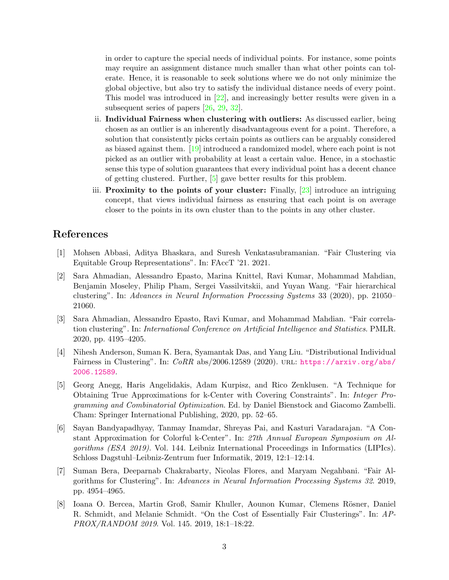in order to capture the special needs of individual points. For instance, some points may require an assignment distance much smaller than what other points can tolerate. Hence, it is reasonable to seek solutions where we do not only minimize the global objective, but also try to satisfy the individual distance needs of every point. This model was introduced in [\[22\]](#page-3-14), and increasingly better results were given in a subsequent series of papers [\[26,](#page-4-4) [29,](#page-4-5) [32\]](#page-4-6).

- ii. Individual Fairness when clustering with outliers: As discussed earlier, being chosen as an outlier is an inherently disadvantageous event for a point. Therefore, a solution that consistently picks certain points as outliers can be arguably considered as biased against them. [\[19\]](#page-3-15) introduced a randomized model, where each point is not picked as an outlier with probability at least a certain value. Hence, in a stochastic sense this type of solution guarantees that every individual point has a decent chance of getting clustered. Further, [\[5\]](#page-2-5) gave better results for this problem.
- iii. Proximity to the points of your cluster: Finally, [\[23\]](#page-3-16) introduce an intriguing concept, that views individual fairness as ensuring that each point is on average closer to the points in its own cluster than to the points in any other cluster.

## References

- <span id="page-2-6"></span>[1] Mohsen Abbasi, Aditya Bhaskara, and Suresh Venkatasubramanian. "Fair Clustering via Equitable Group Representations". In: FAccT '21. 2021.
- <span id="page-2-3"></span>[2] Sara Ahmadian, Alessandro Epasto, Marina Knittel, Ravi Kumar, Mohammad Mahdian, Benjamin Moseley, Philip Pham, Sergei Vassilvitskii, and Yuyan Wang. "Fair hierarchical clustering". In: Advances in Neural Information Processing Systems 33 (2020), pp. 21050– 21060.
- <span id="page-2-1"></span>[3] Sara Ahmadian, Alessandro Epasto, Ravi Kumar, and Mohammad Mahdian. "Fair correlation clustering". In: International Conference on Artificial Intelligence and Statistics. PMLR. 2020, pp. 4195–4205.
- <span id="page-2-7"></span>[4] Nihesh Anderson, Suman K. Bera, Syamantak Das, and Yang Liu. "Distributional Individual Fairness in Clustering". In:  $CoRR$  abs/2006.12589 (2020). URL: [https://arxiv.org/abs/](https://arxiv.org/abs/2006.12589) [2006.12589](https://arxiv.org/abs/2006.12589).
- <span id="page-2-5"></span>[5] Georg Anegg, Haris Angelidakis, Adam Kurpisz, and Rico Zenklusen. "A Technique for Obtaining True Approximations for k-Center with Covering Constraints". In: Integer Programming and Combinatorial Optimization. Ed. by Daniel Bienstock and Giacomo Zambelli. Cham: Springer International Publishing, 2020, pp. 52–65.
- <span id="page-2-4"></span>[6] Sayan Bandyapadhyay, Tanmay Inamdar, Shreyas Pai, and Kasturi Varadarajan. "A Constant Approximation for Colorful k-Center". In: 27th Annual European Symposium on Algorithms (ESA 2019). Vol. 144. Leibniz International Proceedings in Informatics (LIPIcs). Schloss Dagstuhl–Leibniz-Zentrum fuer Informatik, 2019, 12:1–12:14.
- <span id="page-2-2"></span>[7] Suman Bera, Deeparnab Chakrabarty, Nicolas Flores, and Maryam Negahbani. "Fair Algorithms for Clustering". In: Advances in Neural Information Processing Systems 32. 2019, pp. 4954–4965.
- <span id="page-2-0"></span>[8] Ioana O. Bercea, Martin Groß, Samir Khuller, Aounon Kumar, Clemens Rösner, Daniel R. Schmidt, and Melanie Schmidt. "On the Cost of Essentially Fair Clusterings". In: AP-PROX/RANDOM 2019. Vol. 145. 2019, 18:1–18:22.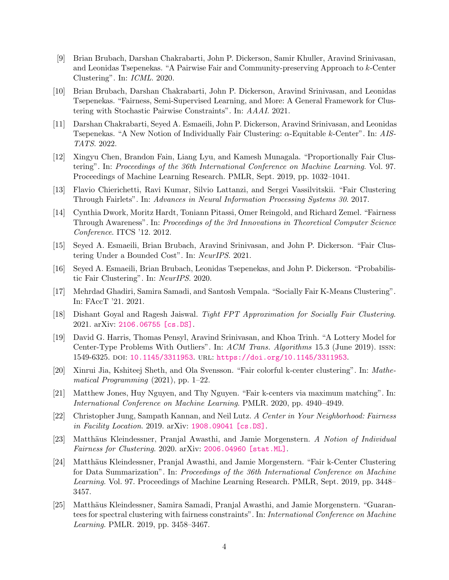- <span id="page-3-11"></span>[9] Brian Brubach, Darshan Chakrabarti, John P. Dickerson, Samir Khuller, Aravind Srinivasan, and Leonidas Tsepenekas. "A Pairwise Fair and Community-preserving Approach to k-Center Clustering". In: ICML. 2020.
- <span id="page-3-12"></span>[10] Brian Brubach, Darshan Chakrabarti, John P. Dickerson, Aravind Srinivasan, and Leonidas Tsepenekas. "Fairness, Semi-Supervised Learning, and More: A General Framework for Clustering with Stochastic Pairwise Constraints". In: AAAI. 2021.
- <span id="page-3-13"></span>[11] Darshan Chakrabarti, Seyed A. Esmaeili, John P. Dickerson, Aravind Srinivasan, and Leonidas Tsepenekas. "A New Notion of Individually Fair Clustering: α-Equitable k-Center". In: AIS-TATS. 2022.
- <span id="page-3-6"></span>[12] Xingyu Chen, Brandon Fain, Liang Lyu, and Kamesh Munagala. "Proportionally Fair Clustering". In: Proceedings of the 36th International Conference on Machine Learning. Vol. 97. Proceedings of Machine Learning Research. PMLR, Sept. 2019, pp. 1032–1041.
- <span id="page-3-0"></span>[13] Flavio Chierichetti, Ravi Kumar, Silvio Lattanzi, and Sergei Vassilvitskii. "Fair Clustering Through Fairlets". In: Advances in Neural Information Processing Systems 30. 2017.
- <span id="page-3-10"></span>[14] Cynthia Dwork, Moritz Hardt, Toniann Pitassi, Omer Reingold, and Richard Zemel. "Fairness Through Awareness". In: Proceedings of the 3rd Innovations in Theoretical Computer Science Conference. ITCS '12. 2012.
- <span id="page-3-3"></span>[15] Seyed A. Esmaeili, Brian Brubach, Aravind Srinivasan, and John P. Dickerson. "Fair Clustering Under a Bounded Cost". In: NeurIPS. 2021.
- <span id="page-3-2"></span>[16] Seyed A. Esmaeili, Brian Brubach, Leonidas Tsepenekas, and John P. Dickerson. "Probabilistic Fair Clustering". In: NeurIPS. 2020.
- <span id="page-3-8"></span>[17] Mehrdad Ghadiri, Samira Samadi, and Santosh Vempala. "Socially Fair K-Means Clustering". In: FAccT '21. 2021.
- <span id="page-3-9"></span>[18] Dishant Goyal and Ragesh Jaiswal. Tight FPT Approximation for Socially Fair Clustering. 2021. arXiv: [2106.06755 \[cs.DS\]](https://arxiv.org/abs/2106.06755).
- <span id="page-3-15"></span>[19] David G. Harris, Thomas Pensyl, Aravind Srinivasan, and Khoa Trinh. "A Lottery Model for Center-Type Problems With Outliers". In: ACM Trans. Algorithms 15.3 (June 2019). ISSN: 1549-6325. doi: [10.1145/3311953](https://doi.org/10.1145/3311953). url: <https://doi.org/10.1145/3311953>.
- <span id="page-3-7"></span>[20] Xinrui Jia, Kshiteej Sheth, and Ola Svensson. "Fair colorful k-center clustering". In: Mathematical Programming (2021), pp. 1–22.
- <span id="page-3-5"></span>[21] Matthew Jones, Huy Nguyen, and Thy Nguyen. "Fair k-centers via maximum matching". In: International Conference on Machine Learning. PMLR. 2020, pp. 4940–4949.
- <span id="page-3-14"></span>[22] Christopher Jung, Sampath Kannan, and Neil Lutz. A Center in Your Neighborhood: Fairness in Facility Location. 2019. arXiv: [1908.09041 \[cs.DS\]](https://arxiv.org/abs/1908.09041).
- <span id="page-3-16"></span>[23] Matthäus Kleindessner, Pranjal Awasthi, and Jamie Morgenstern. A Notion of Individual Fairness for Clustering. 2020. arXiv: [2006.04960 \[stat.ML\]](https://arxiv.org/abs/2006.04960).
- <span id="page-3-4"></span>[24] Matthäus Kleindessner, Pranjal Awasthi, and Jamie Morgenstern. "Fair k-Center Clustering" for Data Summarization". In: Proceedings of the 36th International Conference on Machine Learning. Vol. 97. Proceedings of Machine Learning Research. PMLR, Sept. 2019, pp. 3448– 3457.
- <span id="page-3-1"></span>[25] Matthäus Kleindessner, Samira Samadi, Pranjal Awasthi, and Jamie Morgenstern. "Guarantees for spectral clustering with fairness constraints". In: International Conference on Machine Learning. PMLR. 2019, pp. 3458–3467.